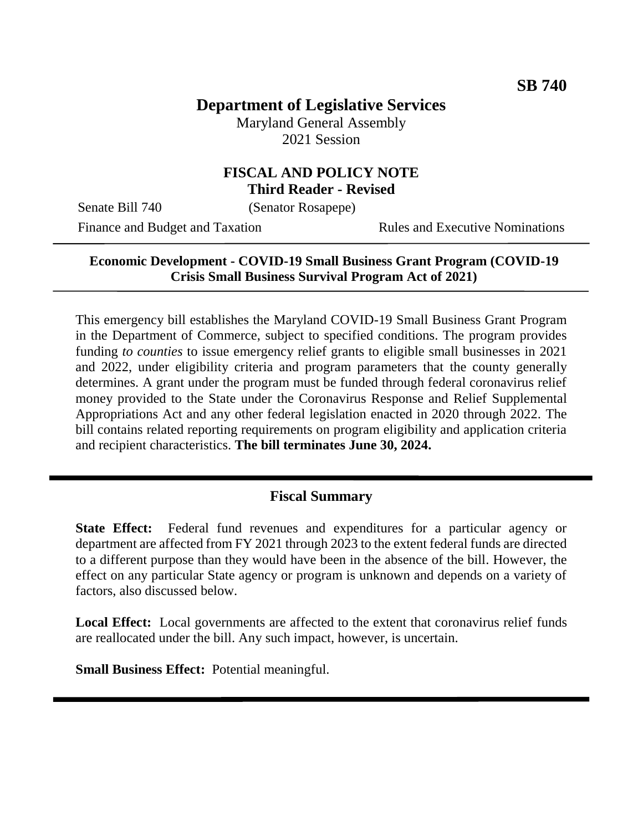# **Department of Legislative Services**

Maryland General Assembly 2021 Session

### **FISCAL AND POLICY NOTE Third Reader - Revised**

Senate Bill 740 (Senator Rosapepe)

Finance and Budget and Taxation Rules and Executive Nominations

### **Economic Development - COVID-19 Small Business Grant Program (COVID-19 Crisis Small Business Survival Program Act of 2021)**

This emergency bill establishes the Maryland COVID-19 Small Business Grant Program in the Department of Commerce, subject to specified conditions. The program provides funding *to counties* to issue emergency relief grants to eligible small businesses in 2021 and 2022, under eligibility criteria and program parameters that the county generally determines. A grant under the program must be funded through federal coronavirus relief money provided to the State under the Coronavirus Response and Relief Supplemental Appropriations Act and any other federal legislation enacted in 2020 through 2022. The bill contains related reporting requirements on program eligibility and application criteria and recipient characteristics. **The bill terminates June 30, 2024.**

### **Fiscal Summary**

**State Effect:** Federal fund revenues and expenditures for a particular agency or department are affected from FY 2021 through 2023 to the extent federal funds are directed to a different purpose than they would have been in the absence of the bill. However, the effect on any particular State agency or program is unknown and depends on a variety of factors, also discussed below.

**Local Effect:** Local governments are affected to the extent that coronavirus relief funds are reallocated under the bill. Any such impact, however, is uncertain.

**Small Business Effect:** Potential meaningful.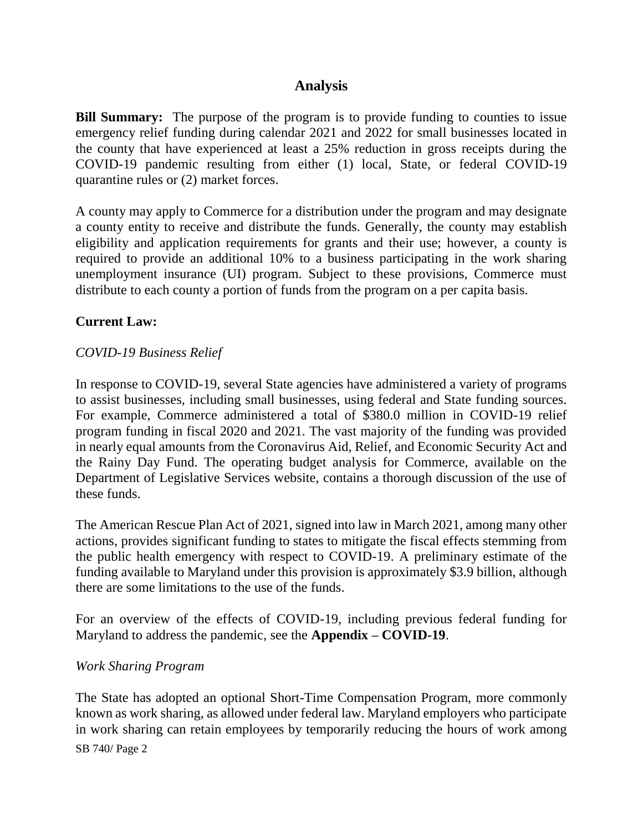## **Analysis**

**Bill Summary:** The purpose of the program is to provide funding to counties to issue emergency relief funding during calendar 2021 and 2022 for small businesses located in the county that have experienced at least a 25% reduction in gross receipts during the COVID-19 pandemic resulting from either (1) local, State, or federal COVID-19 quarantine rules or (2) market forces.

A county may apply to Commerce for a distribution under the program and may designate a county entity to receive and distribute the funds. Generally, the county may establish eligibility and application requirements for grants and their use; however, a county is required to provide an additional 10% to a business participating in the work sharing unemployment insurance (UI) program. Subject to these provisions, Commerce must distribute to each county a portion of funds from the program on a per capita basis.

### **Current Law:**

### *COVID-19 Business Relief*

In response to COVID-19, several State agencies have administered a variety of programs to assist businesses, including small businesses, using federal and State funding sources. For example, Commerce administered a total of \$380.0 million in COVID-19 relief program funding in fiscal 2020 and 2021. The vast majority of the funding was provided in nearly equal amounts from the Coronavirus Aid, Relief, and Economic Security Act and the Rainy Day Fund. The operating budget analysis for Commerce, available on the Department of Legislative Services website, contains a thorough discussion of the use of these funds.

The American Rescue Plan Act of 2021, signed into law in March 2021, among many other actions, provides significant funding to states to mitigate the fiscal effects stemming from the public health emergency with respect to COVID-19. A preliminary estimate of the funding available to Maryland under this provision is approximately \$3.9 billion, although there are some limitations to the use of the funds.

For an overview of the effects of COVID-19, including previous federal funding for Maryland to address the pandemic, see the **Appendix – COVID-19**.

#### *Work Sharing Program*

SB 740/ Page 2 The State has adopted an optional Short-Time Compensation Program, more commonly known as work sharing, as allowed under federal law. Maryland employers who participate in work sharing can retain employees by temporarily reducing the hours of work among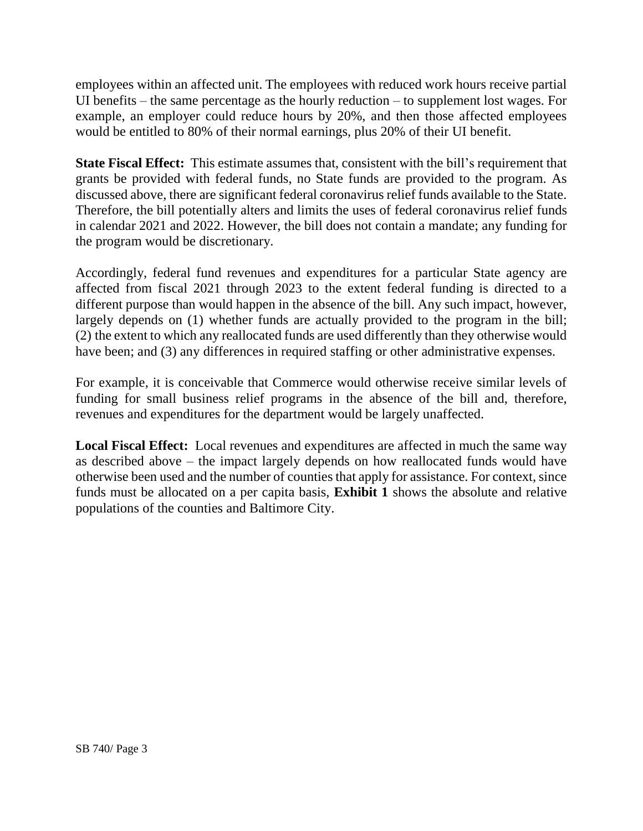employees within an affected unit. The employees with reduced work hours receive partial UI benefits – the same percentage as the hourly reduction – to supplement lost wages. For example, an employer could reduce hours by 20%, and then those affected employees would be entitled to 80% of their normal earnings, plus 20% of their UI benefit.

**State Fiscal Effect:** This estimate assumes that, consistent with the bill's requirement that grants be provided with federal funds, no State funds are provided to the program. As discussed above, there are significant federal coronavirus relief funds available to the State. Therefore, the bill potentially alters and limits the uses of federal coronavirus relief funds in calendar 2021 and 2022. However, the bill does not contain a mandate; any funding for the program would be discretionary.

Accordingly, federal fund revenues and expenditures for a particular State agency are affected from fiscal 2021 through 2023 to the extent federal funding is directed to a different purpose than would happen in the absence of the bill. Any such impact, however, largely depends on (1) whether funds are actually provided to the program in the bill; (2) the extent to which any reallocated funds are used differently than they otherwise would have been; and (3) any differences in required staffing or other administrative expenses.

For example, it is conceivable that Commerce would otherwise receive similar levels of funding for small business relief programs in the absence of the bill and, therefore, revenues and expenditures for the department would be largely unaffected.

**Local Fiscal Effect:** Local revenues and expenditures are affected in much the same way as described above – the impact largely depends on how reallocated funds would have otherwise been used and the number of counties that apply for assistance. For context, since funds must be allocated on a per capita basis, **Exhibit 1** shows the absolute and relative populations of the counties and Baltimore City.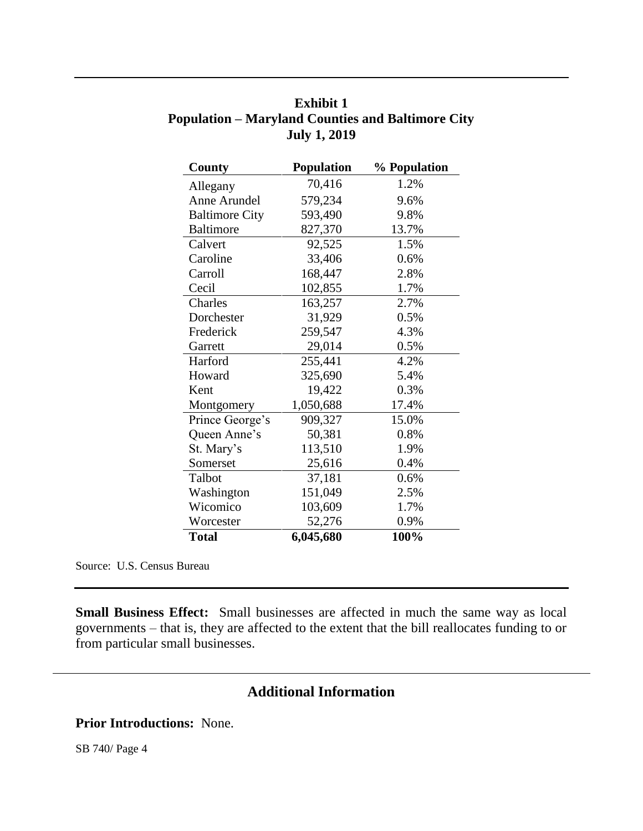| County                | <b>Population</b> | % Population |
|-----------------------|-------------------|--------------|
| Allegany              | 70,416            | 1.2%         |
| Anne Arundel          | 579,234           | 9.6%         |
| <b>Baltimore City</b> | 593,490           | 9.8%         |
| <b>Baltimore</b>      | 827,370           | 13.7%        |
| Calvert               | 92,525            | 1.5%         |
| Caroline              | 33,406            | 0.6%         |
| Carroll               | 168,447           | 2.8%         |
| Cecil                 | 102,855           | 1.7%         |
| Charles               | 163,257           | 2.7%         |
| Dorchester            | 31,929            | 0.5%         |
| Frederick             | 259,547           | 4.3%         |
| Garrett               | 29,014            | 0.5%         |
| Harford               | 255,441           | 4.2%         |
| Howard                | 325,690           | 5.4%         |
| Kent                  | 19,422            | 0.3%         |
| Montgomery            | 1,050,688         | 17.4%        |
| Prince George's       | 909,327           | 15.0%        |
| Queen Anne's          | 50,381            | 0.8%         |
| St. Mary's            | 113,510           | 1.9%         |
| Somerset              | 25,616            | 0.4%         |
| Talbot                | 37,181            | 0.6%         |
| Washington            | 151,049           | 2.5%         |
| Wicomico              | 103,609           | 1.7%         |
| Worcester             | 52,276            | 0.9%         |
| <b>Total</b>          | 6,045,680         | 100%         |

| <b>Exhibit 1</b>                                         |
|----------------------------------------------------------|
| <b>Population – Maryland Counties and Baltimore City</b> |
| <b>July 1, 2019</b>                                      |

Source: U.S. Census Bureau

**Small Business Effect:** Small businesses are affected in much the same way as local governments – that is, they are affected to the extent that the bill reallocates funding to or from particular small businesses.

# **Additional Information**

**Prior Introductions:** None.

SB 740/ Page 4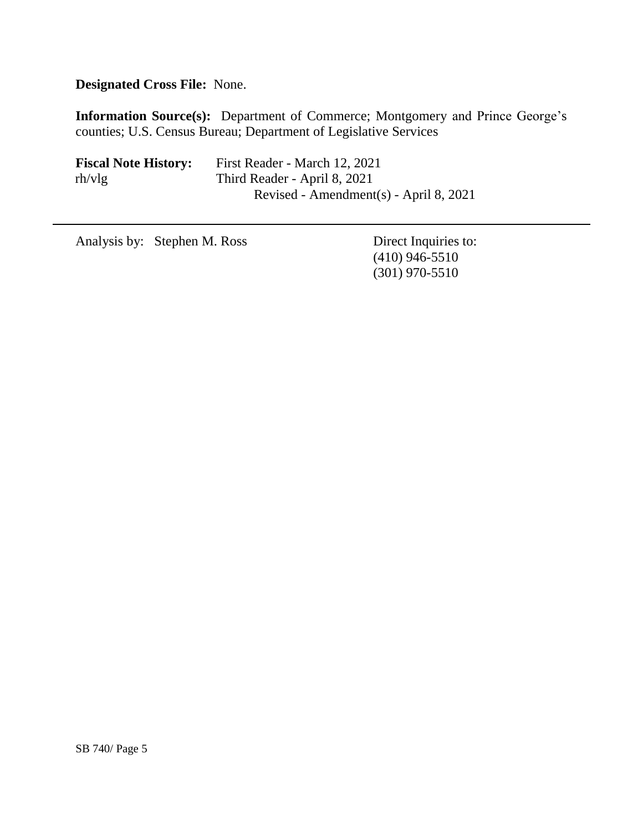**Designated Cross File:** None.

**Information Source(s):** Department of Commerce; Montgomery and Prince George's counties; U.S. Census Bureau; Department of Legislative Services

| <b>Fiscal Note History:</b> | First Reader - March 12, 2021            |
|-----------------------------|------------------------------------------|
| rh/vlg                      | Third Reader - April 8, 2021             |
|                             | Revised - Amendment(s) - April $8, 2021$ |

Analysis by: Stephen M. Ross Direct Inquiries to:

(410) 946-5510 (301) 970-5510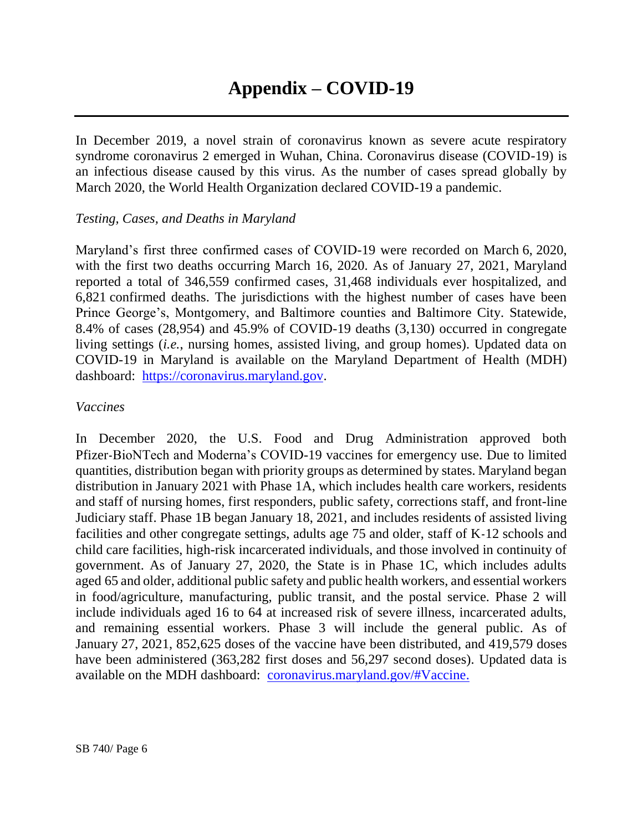In December 2019, a novel strain of coronavirus known as severe acute respiratory syndrome coronavirus 2 emerged in Wuhan, China. Coronavirus disease (COVID-19) is an infectious disease caused by this virus. As the number of cases spread globally by March 2020, the World Health Organization declared COVID-19 a pandemic.

### *Testing, Cases, and Deaths in Maryland*

Maryland's first three confirmed cases of COVID-19 were recorded on March 6, 2020, with the first two deaths occurring March 16, 2020. As of January 27, 2021, Maryland reported a total of 346,559 confirmed cases, 31,468 individuals ever hospitalized, and 6,821 confirmed deaths. The jurisdictions with the highest number of cases have been Prince George's, Montgomery, and Baltimore counties and Baltimore City. Statewide, 8.4% of cases (28,954) and 45.9% of COVID-19 deaths (3,130) occurred in congregate living settings (*i.e.*, nursing homes, assisted living, and group homes). Updated data on COVID-19 in Maryland is available on the Maryland Department of Health (MDH) dashboard: [https://coronavirus.maryland.gov.](https://coronavirus.maryland.gov/)

### *Vaccines*

In December 2020, the U.S. Food and Drug Administration approved both Pfizer-BioNTech and Moderna's COVID-19 vaccines for emergency use. Due to limited quantities, distribution began with priority groups as determined by states. Maryland began distribution in January 2021 with Phase 1A, which includes health care workers, residents and staff of nursing homes, first responders, public safety, corrections staff, and front-line Judiciary staff. Phase 1B began January 18, 2021, and includes residents of assisted living facilities and other congregate settings, adults age 75 and older, staff of K-12 schools and child care facilities, high-risk incarcerated individuals, and those involved in continuity of government. As of January 27, 2020, the State is in Phase 1C, which includes adults aged 65 and older, additional public safety and public health workers, and essential workers in food/agriculture, manufacturing, public transit, and the postal service. Phase 2 will include individuals aged 16 to 64 at increased risk of severe illness, incarcerated adults, and remaining essential workers. Phase 3 will include the general public. As of January 27, 2021, 852,625 doses of the vaccine have been distributed, and 419,579 doses have been administered (363,282 first doses and 56,297 second doses). Updated data is available on the MDH dashboard: [coronavirus.maryland.gov/#Vaccine.](https://coronavirus.maryland.gov/#Vaccine)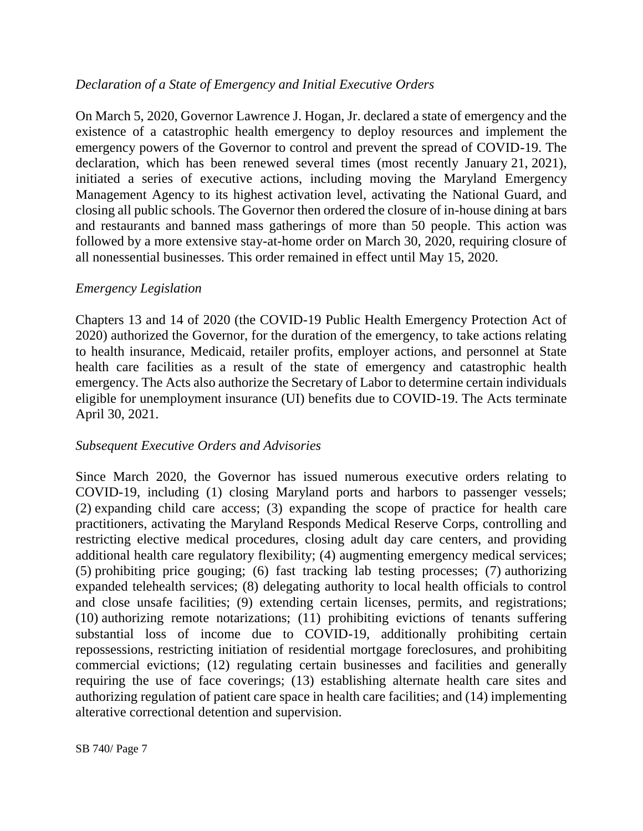### *Declaration of a State of Emergency and Initial Executive Orders*

On March 5, 2020, Governor Lawrence J. Hogan, Jr. declared a state of emergency and the existence of a catastrophic health emergency to deploy resources and implement the emergency powers of the Governor to control and prevent the spread of COVID-19. The declaration, which has been renewed several times (most recently January 21, 2021), initiated a series of executive actions, including moving the Maryland Emergency Management Agency to its highest activation level, activating the National Guard, and closing all public schools. The Governor then ordered the closure of in-house dining at bars and restaurants and banned mass gatherings of more than 50 people. This action was followed by a more extensive stay-at-home order on March 30, 2020, requiring closure of all nonessential businesses. This order remained in effect until May 15, 2020.

### *Emergency Legislation*

Chapters 13 and 14 of 2020 (the COVID-19 Public Health Emergency Protection Act of 2020) authorized the Governor, for the duration of the emergency, to take actions relating to health insurance, Medicaid, retailer profits, employer actions, and personnel at State health care facilities as a result of the state of emergency and catastrophic health emergency. The Acts also authorize the Secretary of Labor to determine certain individuals eligible for unemployment insurance (UI) benefits due to COVID-19. The Acts terminate April 30, 2021.

### *Subsequent Executive Orders and Advisories*

Since March 2020, the Governor has issued numerous executive orders relating to COVID-19, including (1) closing Maryland ports and harbors to passenger vessels; (2) expanding child care access; (3) expanding the scope of practice for health care practitioners, activating the Maryland Responds Medical Reserve Corps, controlling and restricting elective medical procedures, closing adult day care centers, and providing additional health care regulatory flexibility; (4) augmenting emergency medical services; (5) prohibiting price gouging; (6) fast tracking lab testing processes; (7) authorizing expanded telehealth services; (8) delegating authority to local health officials to control and close unsafe facilities; (9) extending certain licenses, permits, and registrations; (10) authorizing remote notarizations; (11) prohibiting evictions of tenants suffering substantial loss of income due to COVID-19, additionally prohibiting certain repossessions, restricting initiation of residential mortgage foreclosures, and prohibiting commercial evictions; (12) regulating certain businesses and facilities and generally requiring the use of face coverings; (13) establishing alternate health care sites and authorizing regulation of patient care space in health care facilities; and (14) implementing alterative correctional detention and supervision.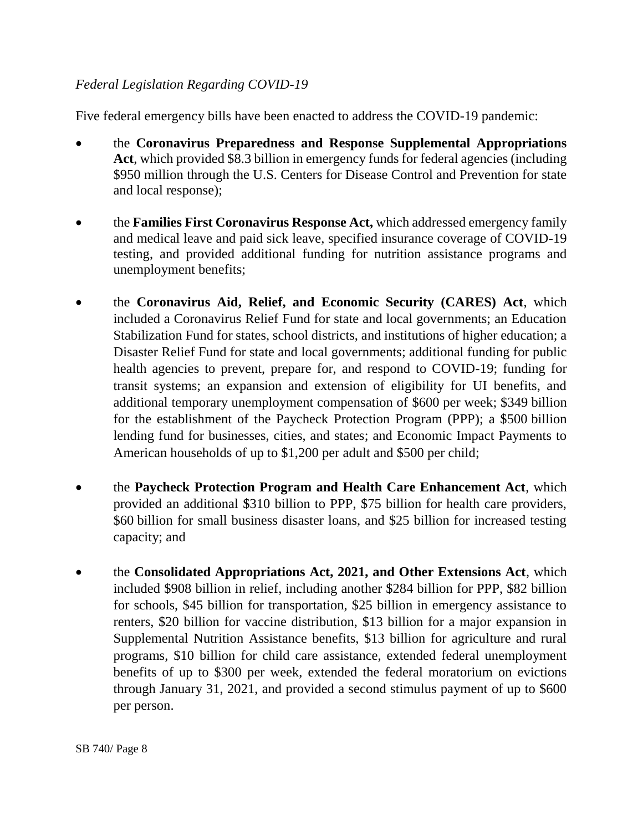### *Federal Legislation Regarding COVID-19*

Five federal emergency bills have been enacted to address the COVID-19 pandemic:

- the **Coronavirus Preparedness and Response Supplemental Appropriations Act**, which provided \$8.3 billion in emergency funds for federal agencies (including \$950 million through the U.S. Centers for Disease Control and Prevention for state and local response);
- the **Families First Coronavirus Response Act,** which addressed emergency family and medical leave and paid sick leave, specified insurance coverage of COVID-19 testing, and provided additional funding for nutrition assistance programs and unemployment benefits;
- the **Coronavirus Aid, Relief, and Economic Security (CARES) Act**, which included a Coronavirus Relief Fund for state and local governments; an Education Stabilization Fund for states, school districts, and institutions of higher education; a Disaster Relief Fund for state and local governments; additional funding for public health agencies to prevent, prepare for, and respond to COVID-19; funding for transit systems; an expansion and extension of eligibility for UI benefits, and additional temporary unemployment compensation of \$600 per week; \$349 billion for the establishment of the Paycheck Protection Program (PPP); a \$500 billion lending fund for businesses, cities, and states; and Economic Impact Payments to American households of up to \$1,200 per adult and \$500 per child;
- the **Paycheck Protection Program and Health Care Enhancement Act**, which provided an additional \$310 billion to PPP, \$75 billion for health care providers, \$60 billion for small business disaster loans, and \$25 billion for increased testing capacity; and
- the **Consolidated Appropriations Act, 2021, and Other Extensions Act**, which included \$908 billion in relief, including another \$284 billion for PPP, \$82 billion for schools, \$45 billion for transportation, \$25 billion in emergency assistance to renters, \$20 billion for vaccine distribution, \$13 billion for a major expansion in Supplemental Nutrition Assistance benefits, \$13 billion for agriculture and rural programs, \$10 billion for child care assistance, extended federal unemployment benefits of up to \$300 per week, extended the federal moratorium on evictions through January 31, 2021, and provided a second stimulus payment of up to \$600 per person.